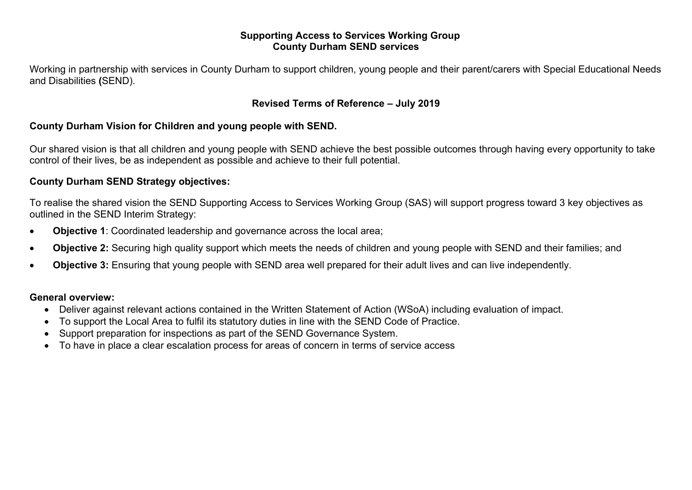### **Supporting Access to Services Working Group County Durham SEND services**

Working in partnership with services in County Durham to support children, young people and their parent/carers with Special Educational Needs and Disabilities **(**SEND).

## **Revised Terms of Reference – July 2019**

## **County Durham Vision for Children and young people with SEND.**

Our shared vision is that all children and young people with SEND achieve the best possible outcomes through having every opportunity to take control of their lives, be as independent as possible and achieve to their full potential.

### **County Durham SEND Strategy objectives:**

To realise the shared vision the SEND Supporting Access to Services Working Group (SAS) will support progress toward 3 key objectives as outlined in the SEND Interim Strategy:

- **Objective 1**: Coordinated leadership and governance across the local area;
- **Objective 2:** Securing high quality support which meets the needs of children and young people with SEND and their families; and
- **Objective 3:** Ensuring that young people with SEND area well prepared for their adult lives and can live independently.

### **General overview:**

- Deliver against relevant actions contained in the Written Statement of Action (WSoA) including evaluation of impact.
- To support the Local Area to fulfil its statutory duties in line with the SEND Code of Practice.
- Support preparation for inspections as part of the SEND Governance System.
- To have in place a clear escalation process for areas of concern in terms of service access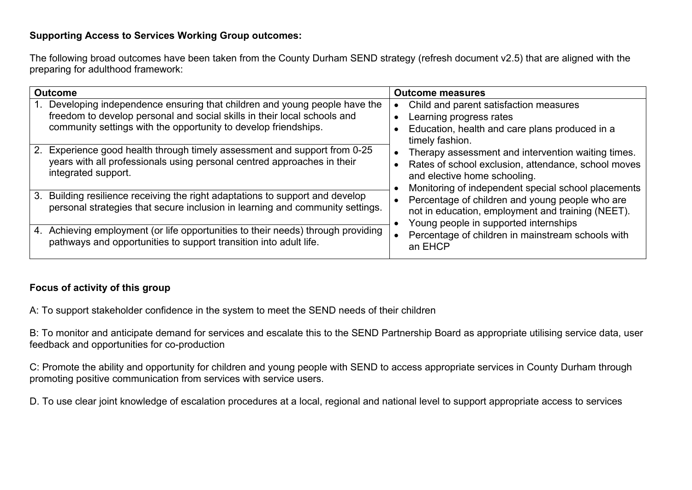# **Supporting Access to Services Working Group outcomes:**

The following broad outcomes have been taken from the County Durham SEND strategy (refresh document v2.5) that are aligned with the preparing for adulthood framework:

| <b>Outcome</b>                                                                                                                                                                                                          | <b>Outcome measures</b>                                                                                                                                                                          |
|-------------------------------------------------------------------------------------------------------------------------------------------------------------------------------------------------------------------------|--------------------------------------------------------------------------------------------------------------------------------------------------------------------------------------------------|
| Developing independence ensuring that children and young people have the<br>freedom to develop personal and social skills in their local schools and<br>community settings with the opportunity to develop friendships. | Child and parent satisfaction measures<br>Learning progress rates<br>Education, health and care plans produced in a<br>timely fashion.                                                           |
| 2. Experience good health through timely assessment and support from 0-25<br>years with all professionals using personal centred approaches in their<br>integrated support.                                             | Therapy assessment and intervention waiting times.<br>Rates of school exclusion, attendance, school moves<br>and elective home schooling.<br>Monitoring of independent special school placements |
| 3. Building resilience receiving the right adaptations to support and develop<br>personal strategies that secure inclusion in learning and community settings.                                                          | Percentage of children and young people who are<br>not in education, employment and training (NEET).<br>Young people in supported internships                                                    |
| 4. Achieving employment (or life opportunities to their needs) through providing<br>pathways and opportunities to support transition into adult life.                                                                   | Percentage of children in mainstream schools with<br>an EHCP                                                                                                                                     |

# **Focus of activity of this group**

A: To support stakeholder confidence in the system to meet the SEND needs of their children

B: To monitor and anticipate demand for services and escalate this to the SEND Partnership Board as appropriate utilising service data, user feedback and opportunities for co-production

C: Promote the ability and opportunity for children and young people with SEND to access appropriate services in County Durham through promoting positive communication from services with service users.

D. To use clear joint knowledge of escalation procedures at a local, regional and national level to support appropriate access to services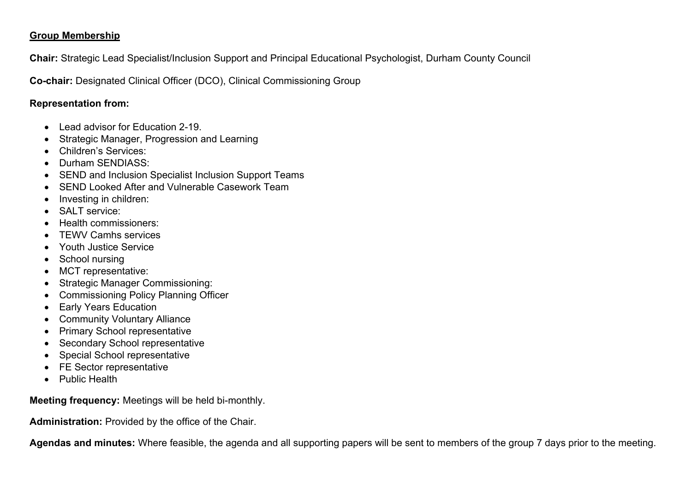## **Group Membership**

**Chair:** Strategic Lead Specialist/Inclusion Support and Principal Educational Psychologist, Durham County Council

**Co-chair:** Designated Clinical Officer (DCO), Clinical Commissioning Group

## **Representation from:**

- Lead advisor for Education 2-19
- Strategic Manager, Progression and Learning
- Children's Services:
- Durham SENDIASS:
- SEND and Inclusion Specialist Inclusion Support Teams
- SEND Looked After and Vulnerable Casework Team
- Investing in children:
- SALT service:
- Health commissioners:
- TEWV Camhs services
- Youth Justice Service
- School nursing
- MCT representative:
- Strategic Manager Commissioning:
- Commissioning Policy Planning Officer
- Early Years Education
- Community Voluntary Alliance
- Primary School representative
- Secondary School representative
- Special School representative
- FE Sector representative
- Public Health

**Meeting frequency:** Meetings will be held bi-monthly.

**Administration:** Provided by the office of the Chair.

**Agendas and minutes:** Where feasible, the agenda and all supporting papers will be sent to members of the group 7 days prior to the meeting.